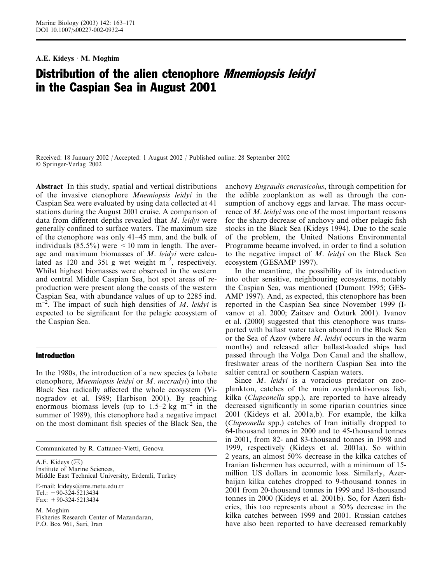# A.E. Kideys  $\cdot$  M. Moghim

# Distribution of the alien ctenophore *Mnemiopsis leidyi* in the Caspian Sea in August 2001

Received: 18 January 2002 / Accepted: 1 August 2002 / Published online: 28 September 2002 Springer-Verlag 2002

Abstract In this study, spatial and vertical distributions of the invasive ctenophore Mnemiopsis leidyi in the Caspian Sea were evaluated by using data collected at 41 stations during the August 2001 cruise. A comparison of data from different depths revealed that M. leidyi were generally confined to surface waters. The maximum size of the ctenophore was only 41–45 mm, and the bulk of individuals  $(85.5\%)$  were  $\leq 10$  mm in length. The average and maximum biomasses of M. leidyi were calculated as 120 and 351 g wet weight  $m^{-2}$ , respectively. Whilst highest biomasses were observed in the western and central Middle Caspian Sea, hot spot areas of reproduction were present along the coasts of the western Caspian Sea, with abundance values of up to 2285 ind.  $m^{-2}$ . The impact of such high densities of M. leidyi is expected to be significant for the pelagic ecosystem of the Caspian Sea.

## Introduction

In the 1980s, the introduction of a new species (a lobate ctenophore, Mnemiopsis leidyi or M. mccradyi) into the Black Sea radically affected the whole ecosystem (Vinogradov et al. 1989; Harbison 2001). By reaching enormous biomass levels (up to 1.5–2 kg  $m^{-2}$  in the summer of 1989), this ctenophore had a negative impact on the most dominant fish species of the Black Sea, the

Communicated by R. Cattaneo-Vietti, Genova

A.E. Kideys (⊠) Institute of Marine Sciences, Middle East Technical University, Erdemli, Turkey E-mail: kideys@ims.metu.edu.tr  $Tel: +90-324-5213434$ Fax: +90-324-5213434

M. Moghim Fisheries Research Center of Mazandaran, P.O. Box 961, Sari, Iran

anchovy Engraulis encrasicolus, through competition for the edible zooplankton as well as through the consumption of anchovy eggs and larvae. The mass occurrence of M. leidyi was one of the most important reasons for the sharp decrease of anchovy and other pelagic fish stocks in the Black Sea (Kideys 1994). Due to the scale of the problem, the United Nations Environmental Programme became involved, in order to find a solution to the negative impact of M. leidyi on the Black Sea ecosystem (GESAMP 1997).

In the meantime, the possibility of its introduction into other sensitive, neighbouring ecosystems, notably the Caspian Sea, was mentioned (Dumont 1995; GES-AMP 1997). And, as expected, this ctenophore has been reported in the Caspian Sea since November 1999 (Ivanov et al. 2000; Zaitsev and Öztürk 2001). Ivanov et al. (2000) suggested that this ctenophore was transported with ballast water taken aboard in the Black Sea or the Sea of Azov (where M. leidyi occurs in the warm months) and released after ballast-loaded ships had passed through the Volga Don Canal and the shallow, freshwater areas of the northern Caspian Sea into the saltier central or southern Caspian waters.

Since *M. leidyi* is a voracious predator on zooplankton, catches of the main zooplanktivorous fish, kilka (Clupeonella spp.), are reported to have already decreased significantly in some riparian countries since 2001 (Kideys et al. 2001a,b). For example, the kilka (Clupeonella spp.) catches of Iran initially dropped to 64-thousand tonnes in 2000 and to 45-thousand tonnes in 2001, from 82- and 83-thousand tonnes in 1998 and 1999, respectively (Kideys et al. 2001a). So within 2 years, an almost 50% decrease in the kilka catches of Iranian fishermen has occurred, with a minimum of 15 million US dollars in economic loss. Similarly, Azerbaijan kilka catches dropped to 9-thousand tonnes in 2001 from 20-thousand tonnes in 1999 and 18-thousand tonnes in 2000 (Kideys et al. 2001b). So, for Azeri fisheries, this too represents about a 50% decrease in the kilka catches between 1999 and 2001. Russian catches have also been reported to have decreased remarkably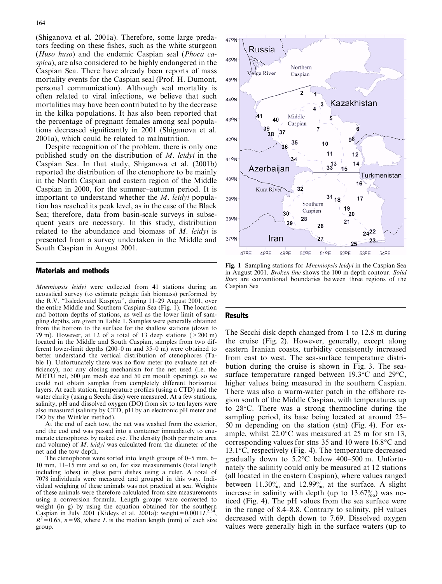(Shiganova et al. 2001a). Therefore, some large predators feeding on these fishes, such as the white sturgeon (Huso huso) and the endemic Caspian seal (Phoca caspica), are also considered to be highly endangered in the Caspian Sea. There have already been reports of mass mortality events for the Caspian seal (Prof. H. Dumont, personal communication). Although seal mortality is often related to viral infections, we believe that such mortalities may have been contributed to by the decrease in the kilka populations. It has also been reported that the percentage of pregnant females among seal populations decreased significantly in 2001 (Shiganova et al. 2001a), which could be related to malnutrition.

Despite recognition of the problem, there is only one published study on the distribution of M. leidyi in the Caspian Sea. In that study, Shiganova et al. (2001b) reported the distribution of the ctenophore to be mainly in the North Caspian and eastern region of the Middle Caspian in 2000, for the summer–autumn period. It is important to understand whether the M. leidyi population has reached its peak level, as in the case of the Black Sea; therefore, data from basin-scale surveys in subsequent years are necessary. In this study, distribution related to the abundance and biomass of M. leidyi is presented from a survey undertaken in the Middle and South Caspian in August 2001.

## Materials and methods

Mnemiopsis leidyi were collected from 41 stations during an acoustical survey (to estimate pelagic fish biomass) performed by the R.V. ''Issledovatel Kaspiya'', during 11–29 August 2001, over the entire Middle and Southern Caspian Sea (Fig. 1). The location and bottom depths of stations, as well as the lower limit of sampling depths, are given in Table 1. Samples were generally obtained from the bottom to the surface for the shallow stations (down to 79 m). However, at 12 of a total of 13 deep stations ( $>200$  m) located in the Middle and South Caspian, samples from two different lower-limit depths  $(200-0 \text{ m and } 35-0 \text{ m})$  were obtained to better understand the vertical distribution of ctenophores (Table 1). Unfortunately there was no flow meter (to evaluate net efficiency), nor any closing mechanism for the net used (i.e. the METU net, 500  $\mu$ m mesh size and 50 cm mouth opening), so we could not obtain samples from completely different horizontal layers. At each station, temperature profiles (using a CTD) and the water clarity (using a Secchi disc) were measured. At a few stations, salinity, pH and dissolved oxygen (DO) from six to ten layers were also measured (salinity by CTD, pH by an electronic pH meter and DO by the Winkler method).

At the end of each tow, the net was washed from the exterior, and the cod end was passed into a container immediately to enumerate ctenophores by naked eye. The density (both per metre area and volume) of M. leidyi was calculated from the diameter of the net and the tow depth.

The ctenophores were sorted into length groups of 0–5 mm, 6– 10 mm, 11–15 mm and so on, for size measurements (total length including lobes) in glass petri dishes using a ruler. A total of 7078 individuals were measured and grouped in this way. Individual weighing of these animals was not practical at sea. Weights of these animals were therefore calculated from size measurements using a conversion formula. Length groups were converted to weight (in g) by using the equation obtained for the southern Caspian in July 2001 (Kideys et al. 2001a): weight= $0.0011L^{2.34}$  $R^2 = 0.65$ ,  $n = 98$ , where L is the median length (mm) of each size group.



Fig. 1 Sampling stations for *Mnemiopsis leidyi* in the Caspian Sea in August 2001. Broken line shows the 100 m depth contour. Solid lines are conventional boundaries between three regions of the Caspian Sea

#### **Results**

The Secchi disk depth changed from 1 to 12.8 m during the cruise (Fig. 2). However, generally, except along eastern Iranian coasts, turbidity consistently increased from east to west. The sea-surface temperature distribution during the cruise is shown in Fig. 3. The seasurface temperature ranged between  $19.3^{\circ}$ C and  $29^{\circ}$ C, higher values being measured in the southern Caspian. There was also a warm-water patch in the offshore region south of the Middle Caspian, with temperatures up to 28°C. There was a strong thermocline during the sampling period, its base being located at around 25– 50 m depending on the station (stn) (Fig. 4). For example, whilst  $22.0^{\circ}$ C was measured at 25 m for stn 13, corresponding values for stns 35 and 10 were 16.8°C and 13.1°C, respectively (Fig. 4). The temperature decreased gradually down to  $5.2^{\circ}$ C below 400–500 m. Unfortunately the salinity could only be measured at 12 stations (all located in the eastern Caspian), where values ranged between  $11.30\%$  and  $12.99\%$  at the surface. A slight increase in salinity with depth (up to  $13.67\%$ ) was noticed (Fig. 4). The pH values from the sea surface were in the range of 8.4–8.8. Contrary to salinity, pH values decreased with depth down to 7.69. Dissolved oxygen values were generally high in the surface waters (up to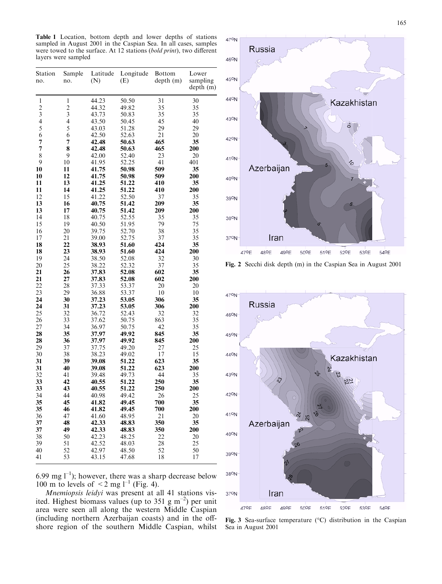Table 1 Location, bottom depth and lower depths of stations sampled in August 2001 in the Caspian Sea. In all cases, samples were towed to the surface. At 12 stations (bold print), two different layers were sampled

| Station<br>no. | Sample<br>no.           | Latitude<br>(N) | Longitude<br>(E) | <b>Bottom</b><br>depth(m) | Lower<br>sampling<br>depth(m) |
|----------------|-------------------------|-----------------|------------------|---------------------------|-------------------------------|
| $\mathbf{1}$   | 1                       | 44.23           | 50.50            | 31                        | 30                            |
| $\overline{c}$ | $\overline{c}$          | 44.32           | 49.82            | 35                        | 35                            |
| 3              | 3                       | 43.73           | 50.83            | 35                        | 35                            |
| 4              | $\overline{\mathbf{4}}$ | 43.50           | 50.45            | 45                        | 40                            |
| 5              | 5                       | 43.03           | 51.28            | 29                        | 29                            |
| 6              | 6                       | 42.50           | 52.63            | 21                        | 20                            |
| 7              | 7                       | 42.48           | 50.63            | 465                       | 35                            |
| 7              | 8                       | 42.48           | 50.63            | 465                       | 200                           |
| 8              | 9                       | 42.00           | 52.40            | 23                        | 20                            |
| 9              | 10                      | 41.95           | 52.25            | 41                        | 401                           |
| 10             | 11                      | 41.75           | 50.98            | 509                       | 35                            |
| 10             | 12                      | 41.75           | 50.98            | 509                       | 200                           |
| 11             | 13                      | 41.25           | 51.22            | 410                       | 35                            |
| 11<br>12       | 14                      | 41.25           | 51.22            | 410                       | 200                           |
| 13             | 15<br>16                | 41.22           | 52.50<br>51.42   | 37<br>209                 | 35<br>35                      |
|                |                         | 40.75           |                  |                           |                               |
| 13<br>14       | 17<br>18                | 40.75<br>40.75  | 51.42<br>52.55   | 209<br>35                 | 200<br>35                     |
| 15             | 19                      | 40.50           | 51.95            | 79                        | 75                            |
| 16             | 20                      | 39.75           | 52.70            | 38                        | 35                            |
| 17             | 21                      | 39.00           | 52.75            | 37                        | 35                            |
| 18             | 22                      | 38.93           | 51.60            | 424                       | 35                            |
| 18             | 23                      | 38.93           | 51.60            | 424                       | 200                           |
| 19             | 24                      | 38.50           | 52.08            | 32                        | 30                            |
| 20             | 25                      | 38.22           | 52.32            | 37                        | 35                            |
| 21             | 26                      | 37.83           | 52.08            | 602                       | 35                            |
| 21             | 27                      | 37.83           | 52.08            | 602                       | 200                           |
| 22             | 28                      | 37.33           | 53.37            | 20                        | 20                            |
| 23             | 29                      | 36.88           | 53.37            | 10                        | 10                            |
| 24             | 30                      | 37.23           | 53.05            | 306                       | 35                            |
| 24             | 31                      | 37.23           | 53.05            | 306                       | 200                           |
| 25             | 32                      | 36.72           | 52.43            | 32                        | 32                            |
| 26             | 33                      | 37.62           | 50.75            | 863                       | 35                            |
| 27             | 34                      | 36.97           | 50.75            | 42                        | 35                            |
| 28             | 35                      | 37.97           | 49.92            | 845                       | 35                            |
| 28             | 36                      | 37.97           | 49.92            | 845                       | 200                           |
| 29             | 37                      | 37.75           | 49.20            | 27                        | 25                            |
| 30             | 38                      | 38.23           | 49.02            | 17                        | 15                            |
| 31             | 39                      | 39.08           | 51.22            | 623                       | 35                            |
| 31             | 40                      | 39.08           | 51.22            | 623                       | 200                           |
| 32             | 41                      | 39.48           | 49.73            | 44                        | 35                            |
| 33             | 42                      | 40.55           | 51.22            | 250                       | 35                            |
| 33             | 43                      | 40.55           | 51.22            | 250                       | 200                           |
| 34             | 44                      | 40.98           | 49.42            | 26                        | 25                            |
| 35             | 45                      | 41.82           | 49.45            | 700                       | 35                            |
| 35             | 46                      | 41.82           | 49.45            | 700                       | 200                           |
| 36             | 47                      | 41.60           | 48.95            | 21                        | 20                            |
| 37             | 48                      | 42.33           | 48.83            | 350                       | 35                            |
| 37             | 49                      | 42.33           | 48.83            | 350                       | 200                           |
| 38             | 50                      | 42.23           | 48.25            | 22                        | 20                            |
| 39             | 51                      | 42.52           | 48.03            | 28                        | 25                            |
| 40             | 52                      | 42.97           | 48.50            | 52                        | 50                            |
| 41             | 53                      | 43.15           | 47.68            | 18                        | 17                            |

6.99 mg  $1^{-1}$ ); however, there was a sharp decrease below 100 m to levels of  $\leq$  2 mg l<sup>-1</sup> (Fig. 4).

Mnemiopsis leidyi was present at all 41 stations visited. Highest biomass values (up to 351 g m<sup>-2</sup>) per unit area were seen all along the western Middle Caspian (including northern Azerbaijan coasts) and in the offshore region of the southern Middle Caspian, whilst







Fig. 3 Sea-surface temperature  $({}^{\circ}C)$  distribution in the Caspian Sea in August 2001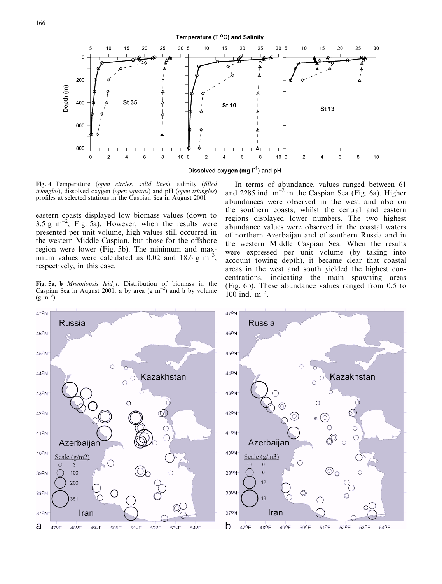Temperature (T °C) and Salinity



Fig. 4 Temperature (open circles, solid lines), salinity (filled triangles), dissolved oxygen (open squares) and pH (open triangles) profiles at selected stations in the Caspian Sea in August 2001

eastern coasts displayed low biomass values (down to 3.5 g  $\text{m}^{-2}$ , Fig. 5a). However, when the results were presented per unit volume, high values still occurred in the western Middle Caspian, but those for the offshore region were lower (Fig. 5b). The minimum and maximum values were calculated as 0.02 and 18.6 g  $\text{m}^{-3}$ , respectively, in this case.

Fig. 5a, b Mnemiopsis leidyi. Distribution of biomass in the Caspian Sea in August 2001: **a** by area (g m<sup>-2</sup>) and **b** by volume  $(g m^{-3})$ 

In terms of abundance, values ranged between 61 and 2285 ind.  $m^{-2}$  in the Caspian Sea (Fig. 6a). Higher abundances were observed in the west and also on the southern coasts, whilst the central and eastern regions displayed lower numbers. The two highest abundance values were observed in the coastal waters of northern Azerbaijan and of southern Russia and in the western Middle Caspian Sea. When the results were expressed per unit volume (by taking into account towing depth), it became clear that coastal areas in the west and south yielded the highest concentrations, indicating the main spawning areas (Fig. 6b). These abundance values ranged from 0.5 to 100 ind.  $m^{-3}$ .

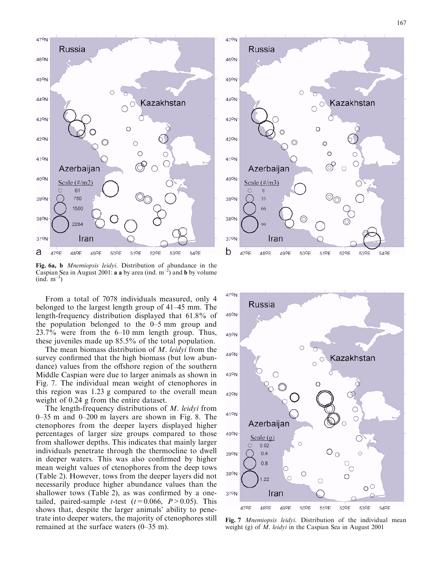



Fig. 6a, b Mnemiopsis leidyi. Distribution of abundance in the Caspian Sea in August 2001: **a a** by area (ind.  $m^{-2}$ ) and **b** by volume (ind. m<sup>-3</sup>)

From a total of 7078 individuals measured, only 4 belonged to the largest length group of 41–45 mm. The length-frequency distribution displayed that 61.8% of the population belonged to the 0–5 mm group and 23.7% were from the 6–10 mm length group. Thus, these juveniles made up 85.5% of the total population.

The mean biomass distribution of M. leidyi from the survey confirmed that the high biomass (but low abundance) values from the offshore region of the southern Middle Caspian were due to larger animals as shown in Fig. 7. The individual mean weight of ctenophores in this region was 1.23 g compared to the overall mean weight of 0.24 g from the entire dataset.

The length-frequency distributions of M. leidyi from 0–35 m and 0–200 m layers are shown in Fig. 8. The ctenophores from the deeper layers displayed higher percentages of larger size groups compared to those from shallower depths. This indicates that mainly larger individuals penetrate through the thermocline to dwell in deeper waters. This was also confirmed by higher mean weight values of ctenophores from the deep tows (Table 2). However, tows from the deeper layers did not necessarily produce higher abundance values than the shallower tows (Table 2), as was confirmed by a onetailed, paired-sample *t*-test  $(t=0.066, P>0.05)$ . This shows that, despite the larger animals' ability to penetrate into deeper waters, the majority of ctenophores still remained at the surface waters (0–35 m).





Fig. 7 *Mnemiopsis leidyi*. Distribution of the individual mean weight (g) of  $\overline{M}$ . leidyi in the Caspian Sea in August 2001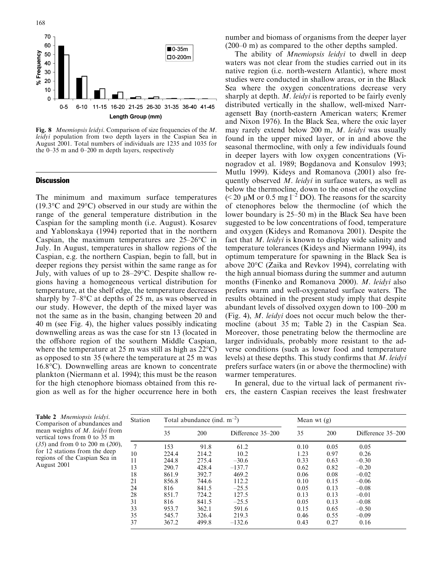

Fig. 8 *Mnemiopsis leidyi*. Comparison of size frequencies of the M. leidyi population from two depth layers in the Caspian Sea in August 2001. Total numbers of individuals are 1235 and 1035 for the 0–35 m and 0–200 m depth layers, respectively

# **Discussion**

The minimum and maximum surface temperatures  $(19.3\textdegree C$  and  $29\textdegree C)$  observed in our study are within the range of the general temperature distribution in the Caspian for the sampling month (i.e. August). Kosarev and Yablonskaya (1994) reported that in the northern Caspian, the maximum temperatures are  $25-26$ °C in July. In August, temperatures in shallow regions of the Caspian, e.g. the northern Caspian, begin to fall, but in deeper regions they persist within the same range as for July, with values of up to 28–29 °C. Despite shallow regions having a homogeneous vertical distribution for temperature, at the shelf edge, the temperature decreases sharply by  $7 - 8$ °C at depths of 25 m, as was observed in our study. However, the depth of the mixed layer was not the same as in the basin, changing between 20 and 40 m (see Fig. 4), the higher values possibly indicating downwelling areas as was the case for stn 13 (located in the offshore region of the southern Middle Caspian, where the temperature at 25 m was still as high as  $22^{\circ}$ C) as opposed to stn 35 (where the temperature at 25 m was 16.8-C). Downwelling areas are known to concentrate plankton (Niermann et al. 1994); this must be the reason for the high ctenophore biomass obtained from this region as well as for the higher occurrence here in both

number and biomass of organisms from the deeper layer (200–0 m) as compared to the other depths sampled.

The ability of *Mnemiopsis leidyi* to dwell in deep waters was not clear from the studies carried out in its native region (i.e. north-western Atlantic), where most studies were conducted in shallow areas, or in the Black Sea where the oxygen concentrations decrease very sharply at depth. M. leidyi is reported to be fairly evenly distributed vertically in the shallow, well-mixed Narragensett Bay (north-eastern American waters; Kremer and Nixon 1976). In the Black Sea, where the oxic layer may rarely extend below 200 m, M. leidyi was usually found in the upper mixed layer, or in and above the seasonal thermocline, with only a few individuals found in deeper layers with low oxygen concentrations (Vinogradov et al. 1989; Bogdanova and Konsulov 1993; Mutlu 1999). Kideys and Romanova (2001) also frequently observed M. leidyi in surface waters, as well as below the thermocline, down to the onset of the oxycline ( $\leq$  20 µM or 0.5 mg l<sup>-2</sup> DO). The reasons for the scarcity of ctenophores below the thermocline (of which the lower boundary is 25–50 m) in the Black Sea have been suggested to be low concentrations of food, temperature and oxygen (Kideys and Romanova 2001). Despite the fact that M. leidyi is known to display wide salinity and temperature tolerances (Kideys and Niermann 1994), its optimum temperature for spawning in the Black Sea is above 20°C (Zaika and Revkov 1994), correlating with the high annual biomass during the summer and autumn months (Finenko and Romanova 2000). M. leidyi also prefers warm and well-oxygenated surface waters. The results obtained in the present study imply that despite abundant levels of dissolved oxygen down to 100–200 m (Fig. 4), M. leidyi does not occur much below the thermocline (about 35 m; Table 2) in the Caspian Sea. Moreover, those penetrating below the thermocline are larger individuals, probably more resistant to the adverse conditions (such as lower food and temperature levels) at these depths. This study confirms that M. leidyi prefers surface waters (in or above the thermocline) with warmer temperatures.

In general, due to the virtual lack of permanent rivers, the eastern Caspian receives the least freshwater

Table 2 Mnemiopsis leidyi. Comparison of abundances and mean weights of M. leidyi from vertical tows from 0 to 35 m (35) and from 0 to 200 m (200), for 12 stations from the deep regions of the Caspian Sea in August 2001

| Station | Total abundance (ind. $m^{-2}$ ) |       |                   |      | Mean wt $(g)$ |                   |  |
|---------|----------------------------------|-------|-------------------|------|---------------|-------------------|--|
|         | 35                               | 200   | Difference 35–200 | 35   | 200           | Difference 35–200 |  |
| 7       | 153                              | 91.8  | 61.2              | 0.10 | 0.05          | 0.05              |  |
| 10      | 224.4                            | 214.2 | 10.2              | 1.23 | 0.97          | 0.26              |  |
| 11      | 244.8                            | 275.4 | $-30.6$           | 0.33 | 0.63          | $-0.30$           |  |
| 13      | 290.7                            | 428.4 | $-137.7$          | 0.62 | 0.82          | $-0.20$           |  |
| 18      | 861.9                            | 392.7 | 469.2             | 0.06 | 0.08          | $-0.02$           |  |
| 21      | 856.8                            | 744.6 | 112.2             | 0.10 | 0.15          | $-0.06$           |  |
| 24      | 816                              | 841.5 | $-25.5$           | 0.05 | 0.13          | $-0.08$           |  |
| 28      | 851.7                            | 724.2 | 127.5             | 0.13 | 0.13          | $-0.01$           |  |
| 31      | 816                              | 841.5 | $-25.5$           | 0.05 | 0.13          | $-0.08$           |  |
| 33      | 953.7                            | 362.1 | 591.6             | 0.15 | 0.65          | $-0.50$           |  |
| 35      | 545.7                            | 326.4 | 219.3             | 0.46 | 0.55          | $-0.09$           |  |
| 37      | 367.2                            | 499.8 | $-132.6$          | 0.43 | 0.27          | 0.16              |  |
|         |                                  |       |                   |      |               |                   |  |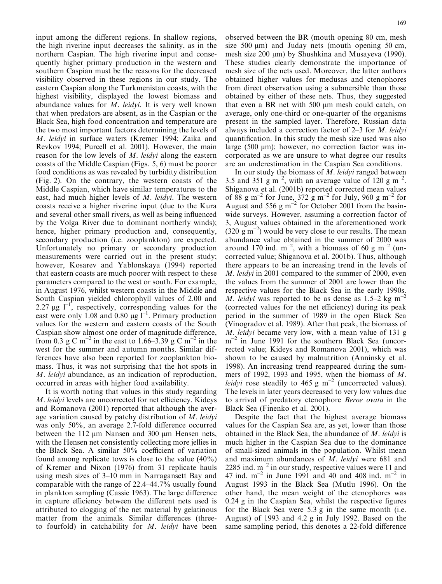input among the different regions. In shallow regions, the high riverine input decreases the salinity, as in the northern Caspian. The high riverine input and consequently higher primary production in the western and southern Caspian must be the reasons for the decreased visibility observed in these regions in our study. The eastern Caspian along the Turkmenistan coasts, with the highest visibility, displayed the lowest biomass and abundance values for M. leidyi. It is very well known that when predators are absent, as in the Caspian or the Black Sea, high food concentration and temperature are the two most important factors determining the levels of M. leidyi in surface waters (Kremer 1994; Zaika and Revkov 1994; Purcell et al. 2001). However, the main reason for the low levels of M. leidyi along the eastern coasts of the Middle Caspian (Figs. 5, 6) must be poorer food conditions as was revealed by turbidity distribution (Fig. 2). On the contrary, the western coasts of the Middle Caspian, which have similar temperatures to the east, had much higher levels of M. leidyi. The western coasts receive a higher riverine input (due to the Kura and several other small rivers, as well as being influenced by the Volga River due to dominant northerly winds); hence, higher primary production and, consequently, secondary production (i.e. zooplankton) are expected. Unfortunately no primary or secondary production measurements were carried out in the present study; however, Kosarev and Yablonskaya (1994) reported that eastern coasts are much poorer with respect to these parameters compared to the west or south. For example, in August 1976, whilst western coasts in the Middle and South Caspian yielded chlorophyll values of 2.00 and 2.27  $\mu$ g l<sup>-1</sup>, respectively, corresponding values for the east were only 1.08 and 0.80  $\mu$ g l<sup>-1</sup>. Primary production values for the western and eastern coasts of the South Caspian show almost one order of magnitude difference, from 0.3 g C m<sup>-2</sup> in the east to 1.66–3.39 g C m<sup>-2</sup> in the west for the summer and autumn months. Similar differences have also been reported for zooplankton biomass. Thus, it was not surprising that the hot spots in M. leidyi abundance, as an indication of reproduction, occurred in areas with higher food availability.

It is worth noting that values in this study regarding M. leidyi levels are uncorrected for net efficiency. Kideys and Romanova (2001) reported that although the average variation caused by patchy distribution of M. leidyi was only 50%, an average 2.7-fold difference occurred between the 112  $\mu$ m Nansen and 300  $\mu$ m Hensen nets, with the Hensen net consistently collecting more jellies in the Black Sea. A similar 50% coefficient of variation found among replicate tows is close to the value  $(40\%)$ of Kremer and Nixon (1976) from 31 replicate hauls using mesh sizes of 3–10 mm in Narragansett Bay and comparable with the range of 22.4–44.7% usually found in plankton sampling (Cassie 1963). The large difference in capture efficiency between the different nets used is attributed to clogging of the net material by gelatinous matter from the animals. Similar differences (threeto fourfold) in catchability for M. leidyi have been

observed between the BR (mouth opening 80 cm, mesh size  $500 \mu m$ ) and Juday nets (mouth opening  $50 \text{ cm}$ , mesh size  $200 \mu m$ ) by Shushkina and Musayeva (1990). These studies clearly demonstrate the importance of mesh size of the nets used. Moreover, the latter authors obtained higher values for medusas and ctenophores from direct observation using a submersible than those obtained by either of these nets. Thus, they suggested that even a BR net with  $500 \mu m$  mesh could catch, on average, only one-third or one-quarter of the organisms present in the sampled layer. Therefore, Russian data always included a correction factor of  $2-3$  for M. leidyi quantification. In this study the mesh size used was also large (500  $\mu$ m); however, no correction factor was incorporated as we are unsure to what degree our results are an underestimation in the Caspian Sea conditions.

In our study the biomass of  $M$ . *leidyi* ranged between 3.5 and 351 g m<sup>-2</sup>, with an average value of 120 g m<sup>-2</sup>. Shiganova et al. (2001b) reported corrected mean values of 88 g m<sup>-2</sup> for June, 372 g m<sup>-2</sup> for July, 960 g m<sup>-2</sup> for August and  $556 \text{ g m}^{-2}$  for October 2001 from the basinwide surveys. However, assuming a correction factor of 3, August values obtained in the aforementioned work  $(320 \text{ g m}^{-2})$  would be very close to our results. The mean abundance value obtained in the summer of 2000 was around 170 ind.  $m^{-2}$ , with a biomass of 60 g m<sup>-2</sup> (uncorrected value; Shiganova et al. 2001b). Thus, although there appears to be an increasing trend in the levels of M. leidyi in 2001 compared to the summer of 2000, even the values from the summer of 2001 are lower than the respective values for the Black Sea in the early 1990s. M. leidyi was reported to be as dense as 1.5–2 kg m<sup>-2</sup> (corrected values for the net efficiency) during its peak period in the summer of 1989 in the open Black Sea (Vinogradov et al. 1989). After that peak, the biomass of M. leidyi became very low, with a mean value of 131 g  $m^{-2}$  in June 1991 for the southern Black Sea (uncorrected value; Kideys and Romanova 2001), which was shown to be caused by malnutrition (Anninsky et al. 1998). An increasing trend reappeared during the summers of 1992, 1993 and 1995, when the biomass of M. *leidyi* rose steadily to 465 g  $m^{-2}$  (uncorrected values). The levels in later years decreased to very low values due to arrival of predatory ctenophore Beroe ovata in the Black Sea (Finenko et al. 2001).

Despite the fact that the highest average biomass values for the Caspian Sea are, as yet, lower than those obtained in the Black Sea, the abundance of M. leidyi is much higher in the Caspian Sea due to the dominance of small-sized animals in the population. Whilst mean and maximum abundances of M. leidyi were 681 and 2285 ind.  $m^{-2}$  in our study, respective values were 11 and 47 ind.  $m^{-2}$  in June 1991 and 40 and 408 ind.  $m^{-2}$  in August 1993 in the Black Sea (Mutlu 1996). On the other hand, the mean weight of the ctenophores was 0.24 g in the Caspian Sea, whilst the respective figures for the Black Sea were 5.3 g in the same month (i.e. August) of 1993 and 4.2 g in July 1992. Based on the same sampling period, this denotes a 22-fold difference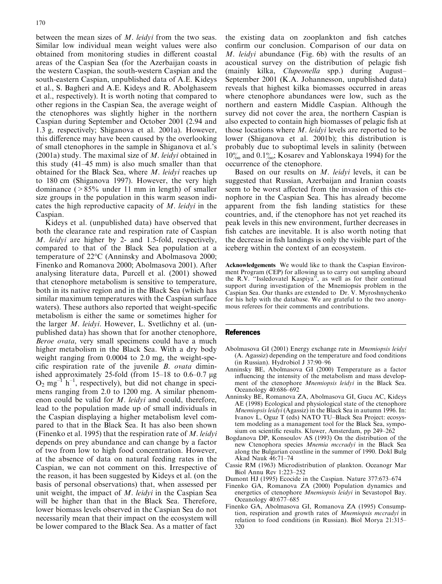between the mean sizes of M. leidyi from the two seas. Similar low individual mean weight values were also obtained from monitoring studies in different coastal areas of the Caspian Sea (for the Azerbaijan coasts in the western Caspian, the south-western Caspian and the south-eastern Caspian, unpublished data of A.E. Kideys et al., S. Bagheri and A.E. Kideys and R. Abolghaseem et al., respectively). It is worth noting that compared to other regions in the Caspian Sea, the average weight of the ctenophores was slightly higher in the northern Caspian during September and October 2001 (2.94 and 1.3 g, respectively; Shiganova et al. 2001a). However, this difference may have been caused by the overlooking of small ctenophores in the sample in Shiganova et al.'s (2001a) study. The maximal size of M. leidyi obtained in this study (41–45 mm) is also much smaller than that obtained for the Black Sea, where M. leidyi reaches up to 180 cm (Shiganova 1997). However, the very high dominance  $(>85\%$  under 11 mm in length) of smaller size groups in the population in this warm season indicates the high reproductive capacity of M. leidyi in the Caspian.

Kideys et al. (unpublished data) have observed that both the clearance rate and respiration rate of Caspian M. leidyi are higher by 2- and 1.5-fold, respectively, compared to that of the Black Sea population at a temperature of 22°C (Anninsky and Abolmasova 2000; Finenko and Romanova 2000; Abolmasova 2001). After analysing literature data, Purcell et al. (2001) showed that ctenophore metabolism is sensitive to temperature, both in its native region and in the Black Sea (which has similar maximum temperatures with the Caspian surface waters). These authors also reported that weight-specific metabolism is either the same or sometimes higher for the larger M. leidyi. However, L. Svetlichny et al. (unpublished data) has shown that for another ctenophore, Beroe ovata, very small specimens could have a much higher metabolism in the Black Sea. With a dry body weight ranging from 0.0004 to 2.0 mg, the weight-specific respiration rate of the juvenile B. ovata diminished approximately 25-fold (from  $15-18$  to  $0.6-0.7$  µg  $O_2$  mg<sup>-1</sup> h<sup>-1</sup>, respectively), but did not change in specimens ranging from 2.0 to 1200 mg. A similar phenomenon could be valid for M. leidyi and could, therefore, lead to the population made up of small individuals in the Caspian displaying a higher metabolism level compared to that in the Black Sea. It has also been shown (Finenko et al. 1995) that the respiration rate of M. leidyi depends on prey abundance and can change by a factor of two from low to high food concentration. However, at the absence of data on natural feeding rates in the Caspian, we can not comment on this. Irrespective of the reason, it has been suggested by Kideys et al. (on the basis of personal observations) that, when assessed per unit weight, the impact of M. leidyi in the Caspian Sea will be higher than that in the Black Sea. Therefore, lower biomass levels observed in the Caspian Sea do not necessarily mean that their impact on the ecosystem will be lower compared to the Black Sea. As a matter of fact

the existing data on zooplankton and fish catches confirm our conclusion. Comparison of our data on M. leidyi abundance (Fig. 6b) with the results of an acoustical survey on the distribution of pelagic fish (mainly kilka, Clupeonella spp.) during August-September 2001 (K.A. Johannesson, unpublished data) reveals that highest kilka biomasses occurred in areas where ctenophore abundances were low, such as the northern and eastern Middle Caspian. Although the survey did not cover the area, the northern Caspian is also expected to contain high biomasses of pelagic fish at those locations where *M. leidyi* levels are reported to be lower (Shiganova et al. 2001b); this distribution is probably due to suboptimal levels in salinity (between  $10\%$  and  $0.1\%$ ; Kosarev and Yablonskaya 1994) for the occurrence of the ctenophore.

Based on our results on M. leidyi levels, it can be suggested that Russian, Azerbaijan and Iranian coasts seem to be worst affected from the invasion of this ctenophore in the Caspian Sea. This has already become apparent from the fish landing statistics for these countries, and, if the ctenophore has not yet reached its peak levels in this new environment, further decreases in fish catches are inevitable. It is also worth noting that the decrease in fish landings is only the visible part of the iceberg within the context of an ecosystem.

Acknowledgements We would like to thank the Caspian Environment Program (CEP) for allowing us to carry out sampling aboard the R.V. ''Issledovatel Kaspiya'', as well as for their continual support during investigation of the Mnemiopsis problem in the Caspian Sea. Our thanks are extended to Dr. V. Myroshnychenko for his help with the database. We are grateful to the two anonymous referees for their comments and contributions.

#### References

- Abolmasova GI (2001) Energy exchange rate in Mnemiopsis leidyi (A. Agassiz) depending on the temperature and food conditions (in Russian). Hydrobiol J 37:90–96
- Anninsky BE, Abolmasova GI (2000) Temperature as a factor influencing the intensity of the metabolism and mass development of the ctenophore Mnemiopsis leidyi in the Black Sea. Oceanology 40:686–692
- Anninsky BE, Romanova ZA, Abolmasova GI, Gucu AC, Kideys AE (1998) Ecological and physiological state of the ctenophore Mnemiopsis leidyi (Agassiz) in the Black Sea in autumn 1996. In: Ivanov L, Oguz T (eds) NATO TU–Black Sea Project: ecosystem modeling as a management tool for the Black Sea, symposium on scientific results. Kluwer, Amsterdam, pp 249–262
- Bogdanova DP, Konsoulov AS (1993) On the distribution of the new Ctenophora species Mnemia mccradyi in the Black Sea along the Bulgarian coastline in the summer of 1990. Dokl Bulg Akad Nauk 46:71–74
- Cassie RM (1963) Microdistribution of plankton. Oceanogr Mar Biol Annu Rev 1:223–252
- Dumont HJ (1995) Ecocide in the Caspian. Nature 377:673–674
- Finenko GA, Romanova ZA (2000) Population dynamics and energetics of ctenophore Mnemiopsis leidyi in Sevastopol Bay. Oceanology 40:677–685
- Finenko GA, Abolmasova GI, Romanova ZA (1995) Consumption, respiration and growth rates of Mnemiopsis mccradyi in relation to food conditions (in Russian). Biol Morya 21:315– 320